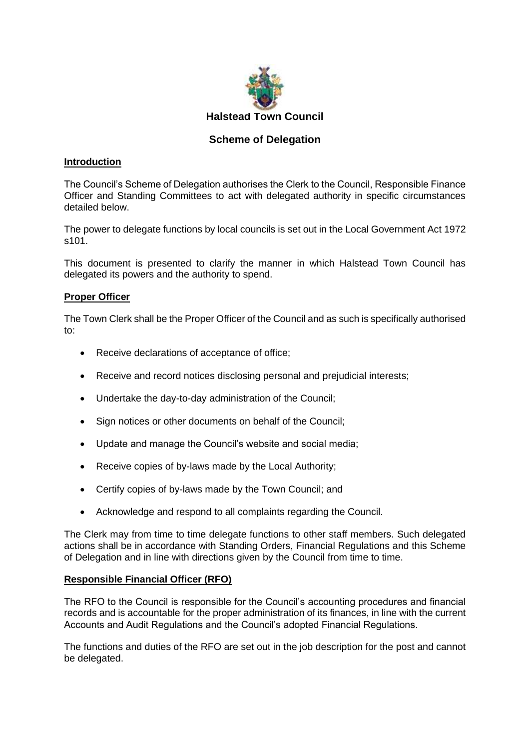

# **Scheme of Delegation**

### **Introduction**

The Council's Scheme of Delegation authorises the Clerk to the Council, Responsible Finance Officer and Standing Committees to act with delegated authority in specific circumstances detailed below.

The power to delegate functions by local councils is set out in the Local Government Act 1972 s101.

This document is presented to clarify the manner in which Halstead Town Council has delegated its powers and the authority to spend.

## **Proper Officer**

The Town Clerk shall be the Proper Officer of the Council and as such is specifically authorised to:

- Receive declarations of acceptance of office;
- Receive and record notices disclosing personal and prejudicial interests;
- Undertake the day-to-day administration of the Council;
- Sign notices or other documents on behalf of the Council;
- Update and manage the Council's website and social media;
- Receive copies of by-laws made by the Local Authority;
- Certify copies of by-laws made by the Town Council; and
- Acknowledge and respond to all complaints regarding the Council.

The Clerk may from time to time delegate functions to other staff members. Such delegated actions shall be in accordance with Standing Orders, Financial Regulations and this Scheme of Delegation and in line with directions given by the Council from time to time.

### **Responsible Financial Officer (RFO)**

The RFO to the Council is responsible for the Council's accounting procedures and financial records and is accountable for the proper administration of its finances, in line with the current Accounts and Audit Regulations and the Council's adopted Financial Regulations.

The functions and duties of the RFO are set out in the job description for the post and cannot be delegated.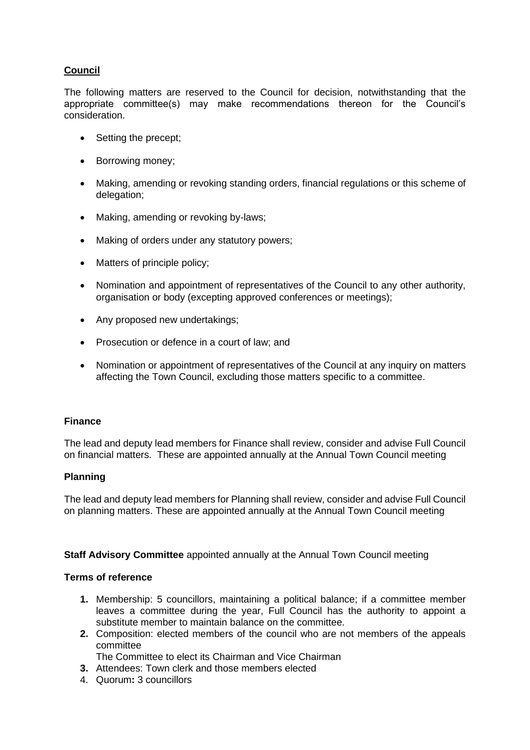# **Council**

The following matters are reserved to the Council for decision, notwithstanding that the appropriate committee(s) may make recommendations thereon for the Council's consideration.

- Setting the precept;
- Borrowing money;
- Making, amending or revoking standing orders, financial regulations or this scheme of delegation;
- Making, amending or revoking by-laws;
- Making of orders under any statutory powers;
- Matters of principle policy;
- Nomination and appointment of representatives of the Council to any other authority, organisation or body (excepting approved conferences or meetings);
- Any proposed new undertakings;
- Prosecution or defence in a court of law; and
- Nomination or appointment of representatives of the Council at any inquiry on matters affecting the Town Council, excluding those matters specific to a committee.

### **Finance**

The lead and deputy lead members for Finance shall review, consider and advise Full Council on financial matters. These are appointed annually at the Annual Town Council meeting

### **Planning**

The lead and deputy lead members for Planning shall review, consider and advise Full Council on planning matters. These are appointed annually at the Annual Town Council meeting

### **Staff Advisory Committee** appointed annually at the Annual Town Council meeting

#### **Terms of reference**

- **1.** Membership: 5 councillors, maintaining a political balance; if a committee member leaves a committee during the year, Full Council has the authority to appoint a substitute member to maintain balance on the committee.
- **2.** Composition: elected members of the council who are not members of the appeals committee
	- The Committee to elect its Chairman and Vice Chairman
- **3.** Attendees: Town clerk and those members elected
- 4. Quorum**:** 3 councillors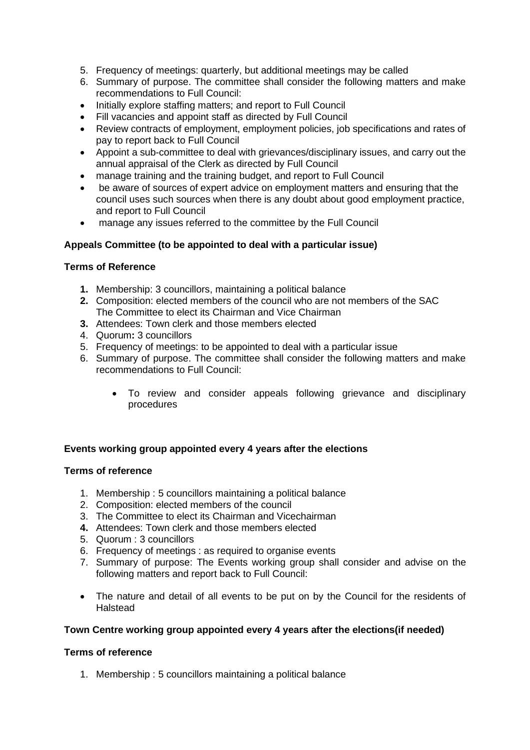- 5. Frequency of meetings: quarterly, but additional meetings may be called
- 6. Summary of purpose. The committee shall consider the following matters and make recommendations to Full Council:
- Initially explore staffing matters; and report to Full Council
- Fill vacancies and appoint staff as directed by Full Council
- Review contracts of employment, employment policies, job specifications and rates of pay to report back to Full Council
- Appoint a sub-committee to deal with grievances/disciplinary issues, and carry out the annual appraisal of the Clerk as directed by Full Council
- manage training and the training budget, and report to Full Council
- be aware of sources of expert advice on employment matters and ensuring that the council uses such sources when there is any doubt about good employment practice, and report to Full Council
- manage any issues referred to the committee by the Full Council

## **Appeals Committee (to be appointed to deal with a particular issue)**

### **Terms of Reference**

- **1.** Membership: 3 councillors, maintaining a political balance
- **2.** Composition: elected members of the council who are not members of the SAC The Committee to elect its Chairman and Vice Chairman
- **3.** Attendees: Town clerk and those members elected
- 4. Quorum**:** 3 councillors
- 5. Frequency of meetings: to be appointed to deal with a particular issue
- 6. Summary of purpose. The committee shall consider the following matters and make recommendations to Full Council:
	- To review and consider appeals following grievance and disciplinary procedures

# **Events working group appointed every 4 years after the elections**

### **Terms of reference**

- 1. Membership : 5 councillors maintaining a political balance
- 2. Composition: elected members of the council
- 3. The Committee to elect its Chairman and Vicechairman
- **4.** Attendees: Town clerk and those members elected
- 5. Quorum : 3 councillors
- 6. Frequency of meetings : as required to organise events
- 7. Summary of purpose: The Events working group shall consider and advise on the following matters and report back to Full Council:
- The nature and detail of all events to be put on by the Council for the residents of **Halstead**

### **Town Centre working group appointed every 4 years after the elections(if needed)**

### **Terms of reference**

1. Membership : 5 councillors maintaining a political balance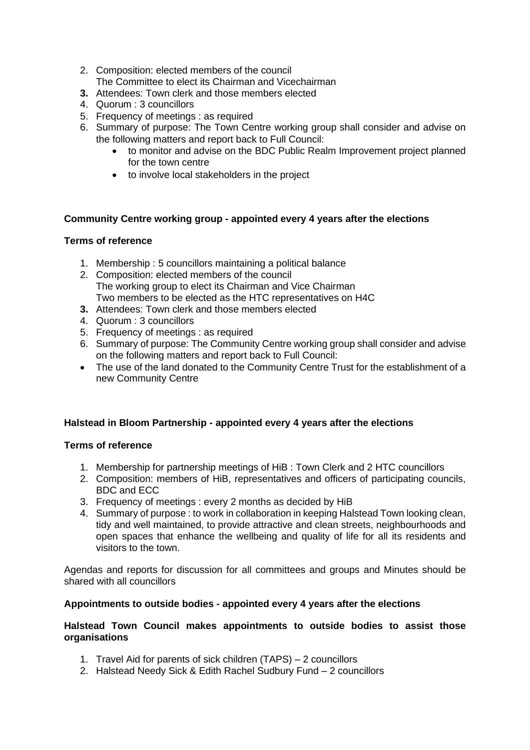- 2. Composition: elected members of the council The Committee to elect its Chairman and Vicechairman
- **3.** Attendees: Town clerk and those members elected
- 4. Quorum : 3 councillors
- 5. Frequency of meetings : as required
- 6. Summary of purpose: The Town Centre working group shall consider and advise on the following matters and report back to Full Council:
	- to monitor and advise on the BDC Public Realm Improvement project planned for the town centre
	- to involve local stakeholders in the project

### **Community Centre working group - appointed every 4 years after the elections**

### **Terms of reference**

- 1. Membership : 5 councillors maintaining a political balance
- 2. Composition: elected members of the council The working group to elect its Chairman and Vice Chairman Two members to be elected as the HTC representatives on H4C
- **3.** Attendees: Town clerk and those members elected
- 4. Quorum : 3 councillors
- 5. Frequency of meetings : as required
- 6. Summary of purpose: The Community Centre working group shall consider and advise on the following matters and report back to Full Council:
- The use of the land donated to the Community Centre Trust for the establishment of a new Community Centre

### **Halstead in Bloom Partnership - appointed every 4 years after the elections**

### **Terms of reference**

- 1. Membership for partnership meetings of HiB : Town Clerk and 2 HTC councillors
- 2. Composition: members of HiB, representatives and officers of participating councils, BDC and ECC
- 3. Frequency of meetings : every 2 months as decided by HiB
- 4. Summary of purpose : to work in collaboration in keeping Halstead Town looking clean, tidy and well maintained, to provide attractive and clean streets, neighbourhoods and open spaces that enhance the wellbeing and quality of life for all its residents and visitors to the town.

Agendas and reports for discussion for all committees and groups and Minutes should be shared with all councillors

### **Appointments to outside bodies - appointed every 4 years after the elections**

#### **Halstead Town Council makes appointments to outside bodies to assist those organisations**

- 1. Travel Aid for parents of sick children (TAPS) 2 councillors
- 2. Halstead Needy Sick & Edith Rachel Sudbury Fund 2 councillors